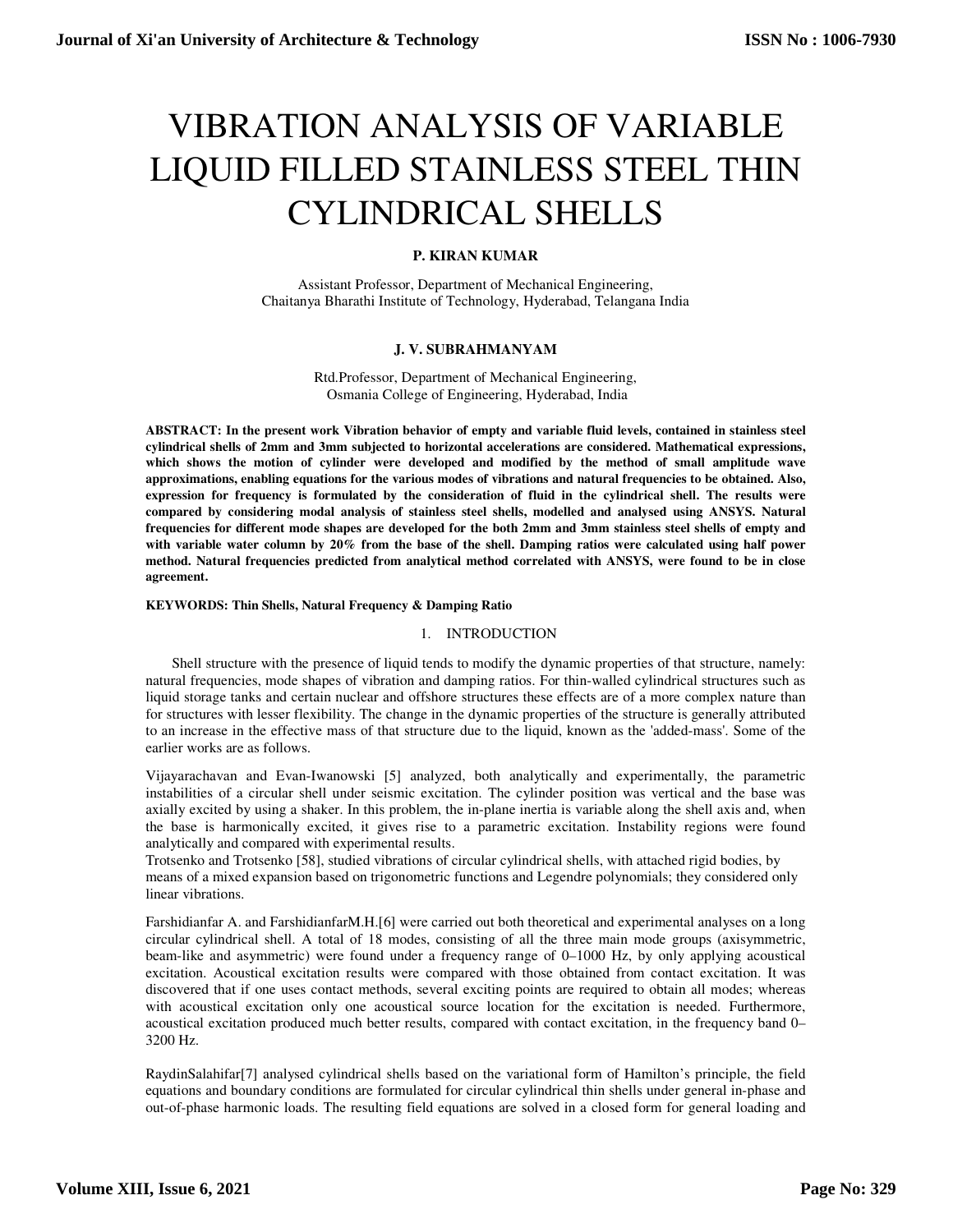# VIBRATION ANALYSIS OF VARIABLE LIQUID FILLED STAINLESS STEEL THIN CYLINDRICAL SHELLS

# **P. KIRAN KUMAR**

Assistant Professor, Department of Mechanical Engineering, Chaitanya Bharathi Institute of Technology, Hyderabad, Telangana India

# **J. V. SUBRAHMANYAM**

Rtd.Professor, Department of Mechanical Engineering, Osmania College of Engineering, Hyderabad, India

**ABSTRACT: In the present work Vibration behavior of empty and variable fluid levels, contained in stainless steel cylindrical shells of 2mm and 3mm subjected to horizontal accelerations are considered. Mathematical expressions, which shows the motion of cylinder were developed and modified by the method of small amplitude wave approximations, enabling equations for the various modes of vibrations and natural frequencies to be obtained. Also, expression for frequency is formulated by the consideration of fluid in the cylindrical shell. The results were compared by considering modal analysis of stainless steel shells, modelled and analysed using ANSYS. Natural frequencies for different mode shapes are developed for the both 2mm and 3mm stainless steel shells of empty and with variable water column by 20% from the base of the shell. Damping ratios were calculated using half power method. Natural frequencies predicted from analytical method correlated with ANSYS, were found to be in close agreement.** 

### **KEYWORDS: Thin Shells, Natural Frequency & Damping Ratio**

## 1. INTRODUCTION

Shell structure with the presence of liquid tends to modify the dynamic properties of that structure, namely: natural frequencies, mode shapes of vibration and damping ratios. For thin-walled cylindrical structures such as liquid storage tanks and certain nuclear and offshore structures these effects are of a more complex nature than for structures with lesser flexibility. The change in the dynamic properties of the structure is generally attributed to an increase in the effective mass of that structure due to the liquid, known as the 'added-mass'. Some of the earlier works are as follows.

Vijayarachavan and Evan-Iwanowski [5] analyzed, both analytically and experimentally, the parametric instabilities of a circular shell under seismic excitation. The cylinder position was vertical and the base was axially excited by using a shaker. In this problem, the in-plane inertia is variable along the shell axis and, when the base is harmonically excited, it gives rise to a parametric excitation. Instability regions were found analytically and compared with experimental results.

Trotsenko and Trotsenko [58], studied vibrations of circular cylindrical shells, with attached rigid bodies, by means of a mixed expansion based on trigonometric functions and Legendre polynomials; they considered only linear vibrations.

Farshidianfar A. and FarshidianfarM.H.[6] were carried out both theoretical and experimental analyses on a long circular cylindrical shell. A total of 18 modes, consisting of all the three main mode groups (axisymmetric, beam-like and asymmetric) were found under a frequency range of 0–1000 Hz, by only applying acoustical excitation. Acoustical excitation results were compared with those obtained from contact excitation. It was discovered that if one uses contact methods, several exciting points are required to obtain all modes; whereas with acoustical excitation only one acoustical source location for the excitation is needed. Furthermore, acoustical excitation produced much better results, compared with contact excitation, in the frequency band 0– 3200 Hz.

RaydinSalahifar[7] analysed cylindrical shells based on the variational form of Hamilton's principle, the field equations and boundary conditions are formulated for circular cylindrical thin shells under general in-phase and out-of-phase harmonic loads. The resulting field equations are solved in a closed form for general loading and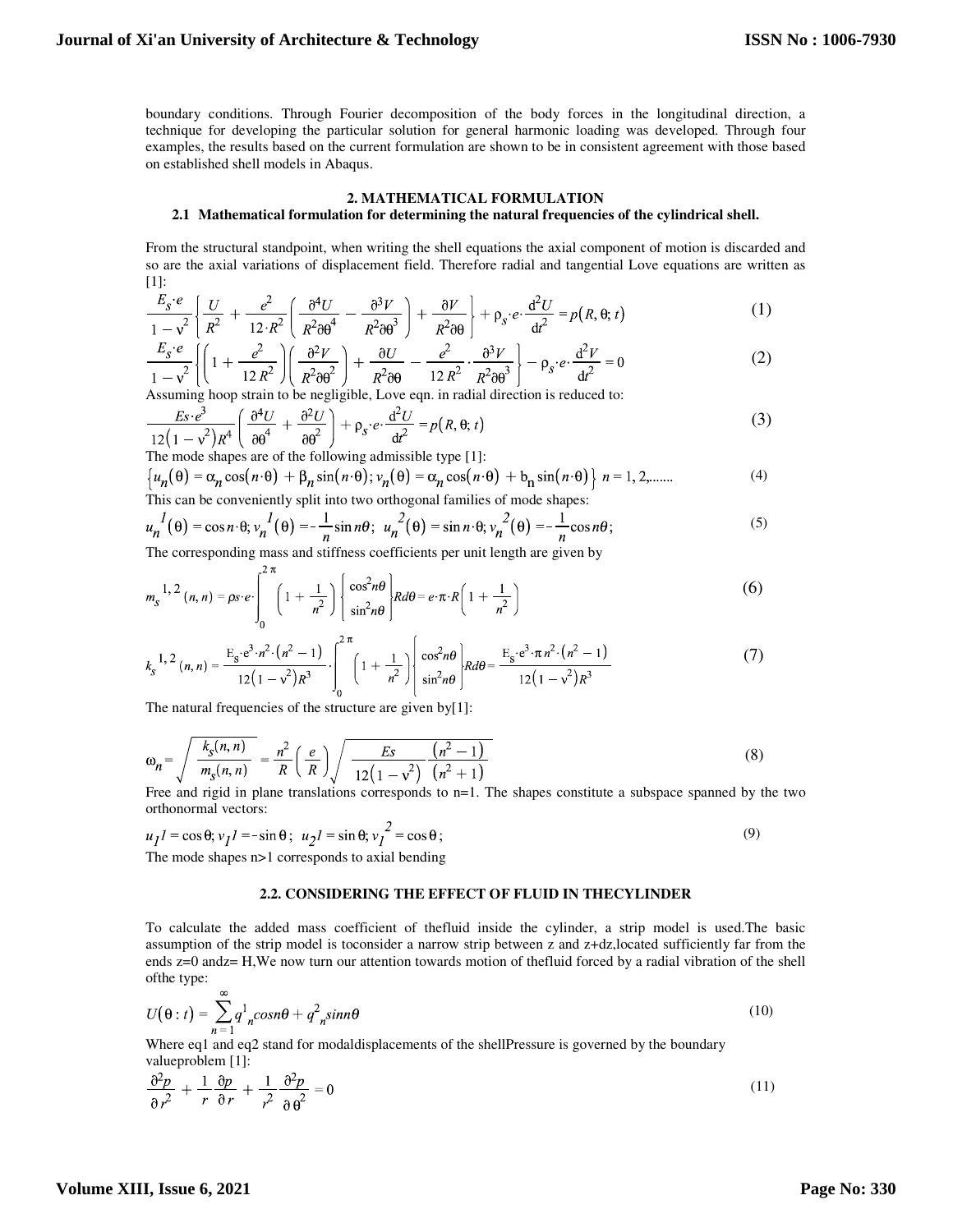boundary conditions. Through Fourier decomposition of the body forces in the longitudinal direction, a technique for developing the particular solution for general harmonic loading was developed. Through four examples, the results based on the current formulation are shown to be in consistent agreement with those based on established shell models in Abaqus.

## **2. MATHEMATICAL FORMULATION 2.1 Mathematical formulation for determining the natural frequencies of the cylindrical shell.**

From the structural standpoint, when writing the shell equations the axial component of motion is discarded and so are the axial variations of displacement field. Therefore radial and tangential Love equations are written as [1]:

$$
\frac{E_{S}e}{1-v^{2}}\left\{\frac{U}{R^{2}}+\frac{e^{2}}{12\cdot R^{2}}\left(\frac{\partial^{4}U}{R^{2}\partial\theta^{4}}-\frac{\partial^{3}V}{R^{2}\partial\theta^{3}}\right)+\frac{\partial V}{R^{2}\partial\theta}\right\}+ \rho_{S}e\cdot\frac{d^{2}U}{dt^{2}}=p(R,\theta;t)
$$
(1)

$$
\frac{E_s \cdot e}{1 - v^2} \left\{ \left( 1 + \frac{e^2}{12 R^2} \right) \left( \frac{\partial^2 V}{R^2 \partial \theta^2} \right) + \frac{\partial U}{R^2 \partial \theta} - \frac{e^2}{12 R^2} \cdot \frac{\partial^3 V}{R^2 \partial \theta^3} \right\} - \rho_s \cdot e \cdot \frac{d^2 V}{dt^2} = 0 \tag{2}
$$

Assuming hoop strain to be negligible, Love eqn. in radial direction is reduced to:

$$
\frac{Es \cdot e^3}{12\left(1 - v^2\right)R^4} \left( \frac{\partial^4 U}{\partial \theta^4} + \frac{\partial^2 U}{\partial \theta^2} \right) + \rho_S \cdot e \cdot \frac{d^2 U}{dt^2} = p(R, \theta; t)
$$
 (3)

The mode shapes are of the following admissible type [1]:

 $2\pi$ 

$$
\left\{u_n(\theta) = \alpha_n \cos(n \cdot \theta) + \beta_n \sin(n \cdot \theta); v_n(\theta) = \alpha_n \cos(n \cdot \theta) + b_n \sin(n \cdot \theta)\right\} n = 1, 2, \dots \tag{4}
$$

This can be conveniently split into two orthogonal families of mode shapes:

$$
u_n^I(\theta) = \cos n \cdot \theta; v_n^I(\theta) = -\frac{1}{n} \sin n\theta; \ u_n^2(\theta) = \sin n \cdot \theta; v_n^2(\theta) = -\frac{1}{n} \cos n\theta;
$$
 (5)

The corresponding mass and stiffness coefficients per unit length are given by

$$
m_{S}^{-1,2}(n,n) = \rho_{S} \cdot e \cdot \int_{0}^{1} \left(1 + \frac{1}{n^{2}}\right) \left\{\frac{\cos^{2} n\theta}{\sin^{2} n\theta}\right\} R d\theta = e \cdot \pi \cdot R\left(1 + \frac{1}{n^{2}}\right)
$$
 (6)

$$
k_{s}^{1,2}(n,n) = \frac{E_{s} \cdot e^{3} \cdot n^{2} \cdot (n^{2} - 1)}{12(1 - v^{2})R^{3}} \cdot \int_{0}^{2\pi} \left(1 + \frac{1}{n^{2}}\right) \left[ \frac{\cos^{2} n\theta}{\sin^{2} n\theta} \right] R d\theta = \frac{E_{s} \cdot e^{3} \cdot \pi n^{2} \cdot (n^{2} - 1)}{12(1 - v^{2})R^{3}}
$$
(7)

The natural frequencies of the structure are given by[1]:

$$
\omega_n = \sqrt{\frac{k_S(n, n)}{m_S(n, n)}} = \frac{n^2}{R} \left(\frac{e}{R}\right) \sqrt{\frac{Es}{12(1 - v^2)} \frac{(n^2 - 1)}{(n^2 + 1)}}
$$
(8)

Free and rigid in plane translations corresponds to n=1. The shapes constitute a subspace spanned by the two orthonormal vectors:

$$
u_1 l = \cos \theta; v_1 l = -\sin \theta; u_2 l = \sin \theta; v_1^2 = \cos \theta;
$$
\nThe mode shapes is 1 corresponds to axial bending.

The mode shapes n>1 corresponds to axial bending

#### **2.2. CONSIDERING THE EFFECT OF FLUID IN THECYLINDER**

To calculate the added mass coefficient of thefluid inside the cylinder, a strip model is used.The basic assumption of the strip model is toconsider a narrow strip between z and z+dz,located sufficiently far from the ends z=0 andz= H,We now turn our attention towards motion of thefluid forced by a radial vibration of the shell ofthe type:

$$
U(\theta : t) = \sum_{n=1}^{\infty} q^1_{n} cos n\theta + q^2_{n} sin n\theta
$$
 (10)

Where eq1 and eq2 stand for modaldisplacements of the shellPressure is governed by the boundary valueproblem [1]:

$$
\frac{\partial^2 p}{\partial r^2} + \frac{1}{r} \frac{\partial p}{\partial r} + \frac{1}{r^2} \frac{\partial^2 p}{\partial \theta^2} = 0
$$
\n(11)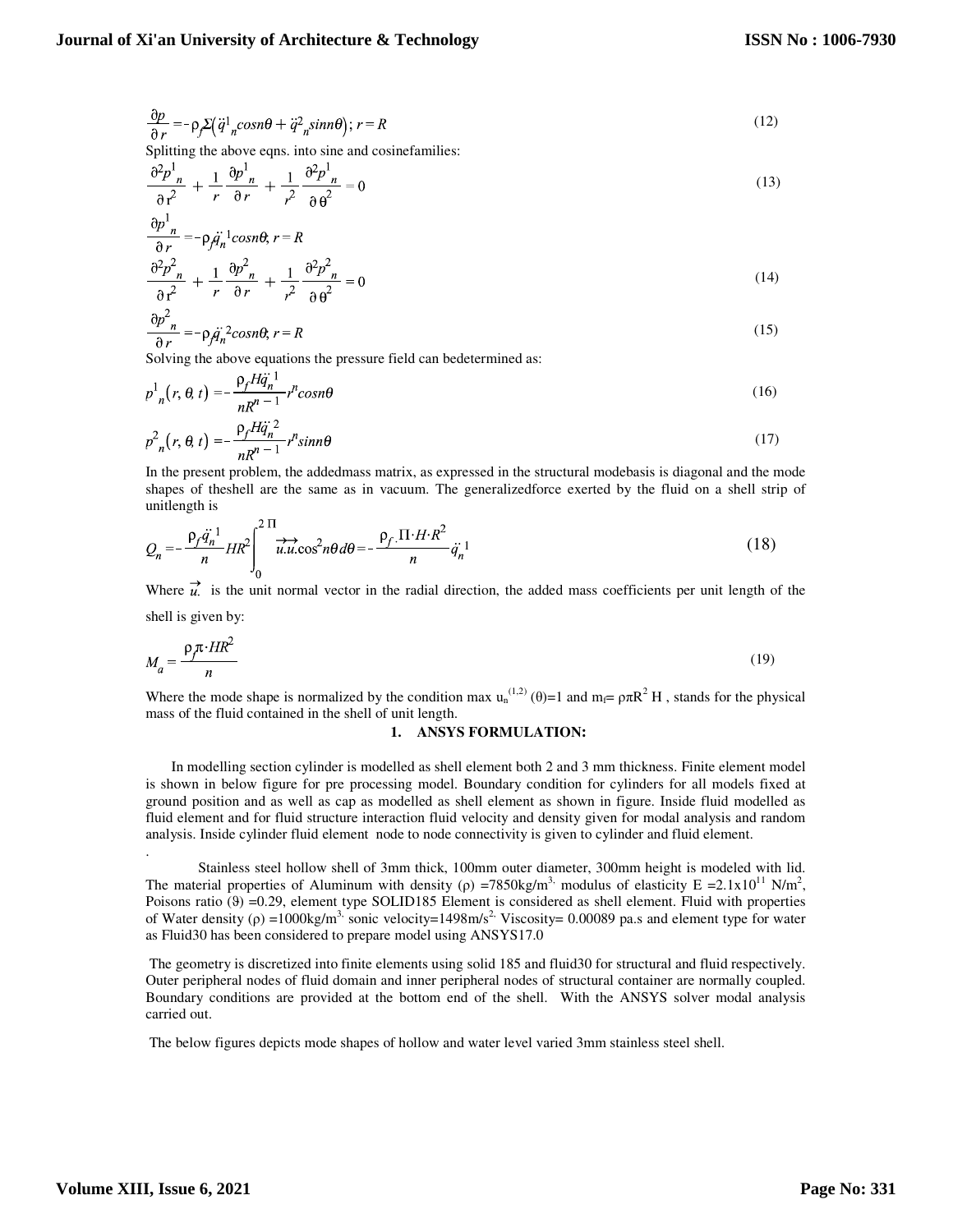$$
\frac{\partial p}{\partial r} = -\rho_f \Sigma \left( \ddot{q}^1{}_n \cos n\theta + \ddot{q}^2{}_n \sin n\theta \right); \, r = R \tag{12}
$$

Splitting the above eqns. into sine and cosinefamilies:

$$
\frac{\partial^2 p^1_{n}}{\partial r^2} + \frac{1}{r} \frac{\partial p^1_{n}}{\partial r} + \frac{1}{r^2} \frac{\partial^2 p^1_{n}}{\partial \theta^2} = 0
$$
\n(13)

$$
\frac{\partial p^1_n}{\partial r} = -\rho_f \ddot{q}_n^{-1} \cos n\theta, r = R
$$
  

$$
\frac{\partial^2 p^2_n}{\partial r^2} + \frac{1}{r} \frac{\partial p^2_n}{\partial r} + \frac{1}{r^2} \frac{\partial^2 p^2_n}{\partial r^2} = 0
$$
 (14)

$$
\frac{\partial p^2_n}{\partial r} = -\rho_f \ddot{q}_n^2 \cos n\theta, r = R \tag{15}
$$

Solving the above equations the pressure field can bedetermined as:

$$
p_{n}^{1}(r, \theta, t) = -\frac{\rho_{f} H \ddot{q}_{n}^{1}}{n R^{n-1}} r^{n} \cos n\theta
$$
\n(16)

$$
p_{n}^{2}(r, \theta, t) = -\frac{\rho_{f} H \ddot{q}_{n}^{2}}{n R^{n-1}} r^{n} \sin n\theta
$$
\n(17)

In the present problem, the addedmass matrix, as expressed in the structural modebasis is diagonal and the mode shapes of theshell are the same as in vacuum. The generalizedforce exerted by the fluid on a shell strip of unitlength is  $\sim$   $\sim$ 

$$
Q_n = -\frac{\rho_f \dot{q}_n^{-1}}{n} H R^2 \int_0^{2\pi} \vec{u} \cdot \vec{u} \cdot \cos^2 n\theta \, d\theta = -\frac{\rho_f \cdot \Pi \cdot H \cdot R^2}{n} \dot{q}_n^{-1} \tag{18}
$$

Where  $\vec{u}$ , is the unit normal vector in the radial direction, the added mass coefficients per unit length of the shell is given by:

$$
M_a = \frac{\rho_f \pi \cdot HR^2}{n} \tag{19}
$$

Where the mode shape is normalized by the condition max  $u_n^{(1,2)}(\theta)=1$  and  $m_f=\rho\pi R^2 H$ , stands for the physical mass of the fluid contained in the shell of unit length.

#### **1. ANSYS FORMULATION:**

 In modelling section cylinder is modelled as shell element both 2 and 3 mm thickness. Finite element model is shown in below figure for pre processing model. Boundary condition for cylinders for all models fixed at ground position and as well as cap as modelled as shell element as shown in figure. Inside fluid modelled as fluid element and for fluid structure interaction fluid velocity and density given for modal analysis and random analysis. Inside cylinder fluid element node to node connectivity is given to cylinder and fluid element.

Stainless steel hollow shell of 3mm thick, 100mm outer diameter, 300mm height is modeled with lid. The material properties of Aluminum with density ( $\rho$ ) =7850kg/m<sup>3,</sup> modulus of elasticity E =2.1x10<sup>11</sup> N/m<sup>2</sup>, Poisons ratio ( $\theta$ ) =0.29, element type SOLID185 Element is considered as shell element. Fluid with properties of Water density ( $\rho$ ) =1000kg/m<sup>3,</sup> sonic velocity=1498m/s<sup>2,</sup> Viscosity= 0.00089 pa.s and element type for water as Fluid30 has been considered to prepare model using ANSYS17.0

 The geometry is discretized into finite elements using solid 185 and fluid30 for structural and fluid respectively. Outer peripheral nodes of fluid domain and inner peripheral nodes of structural container are normally coupled. Boundary conditions are provided at the bottom end of the shell. With the ANSYS solver modal analysis carried out.

The below figures depicts mode shapes of hollow and water level varied 3mm stainless steel shell.

.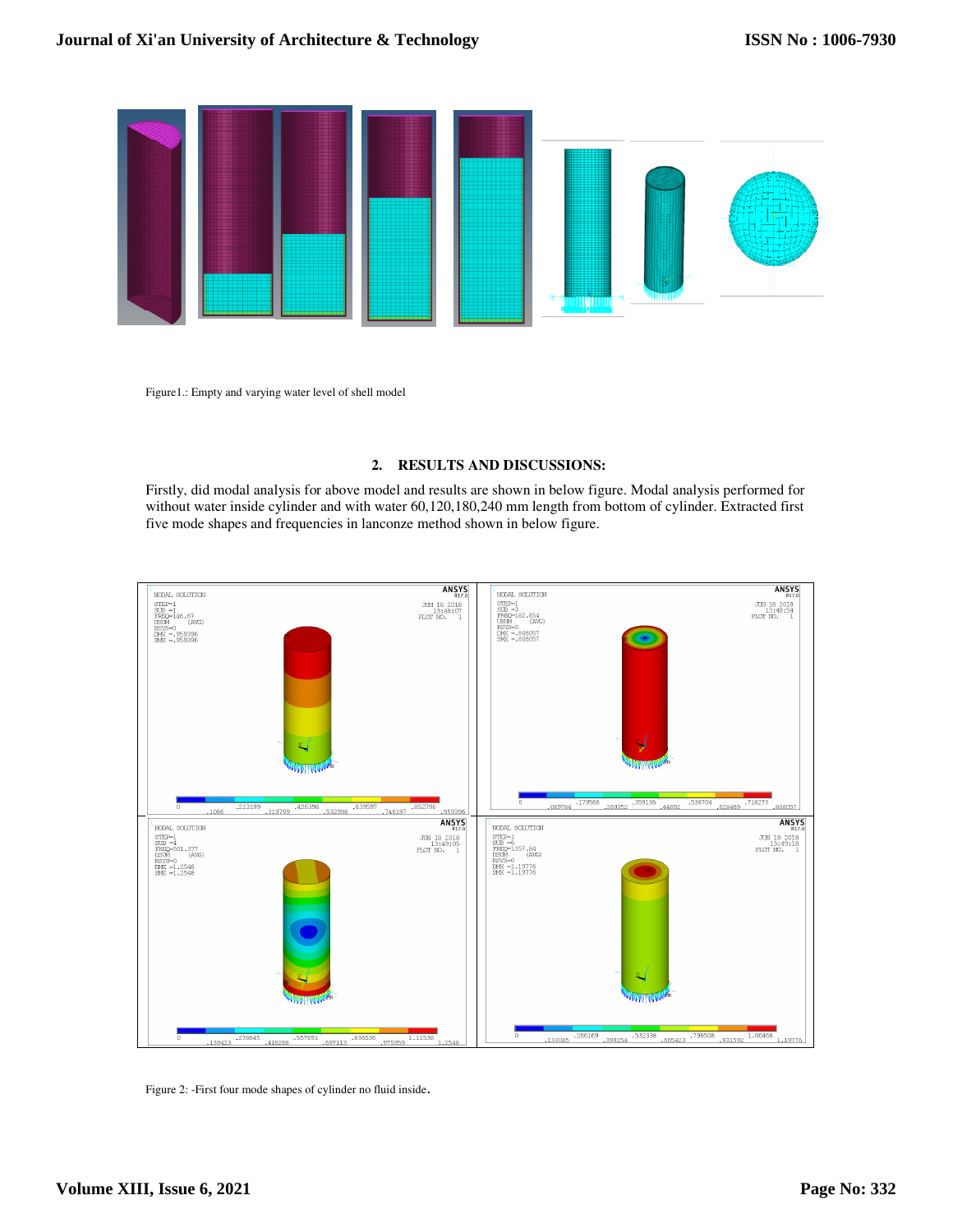

Figure1.: Empty and varying water level of shell model

# **2. RESULTS AND DISCUSSIONS:**

Firstly, did modal analysis for above model and results are shown in below figure. Modal analysis performed for without water inside cylinder and with water 60,120,180,240 mm length from bottom of cylinder. Extracted first five mode shapes and frequencies in lanconze method shown in below figure.



Figure 2: -First four mode shapes of cylinder no fluid inside.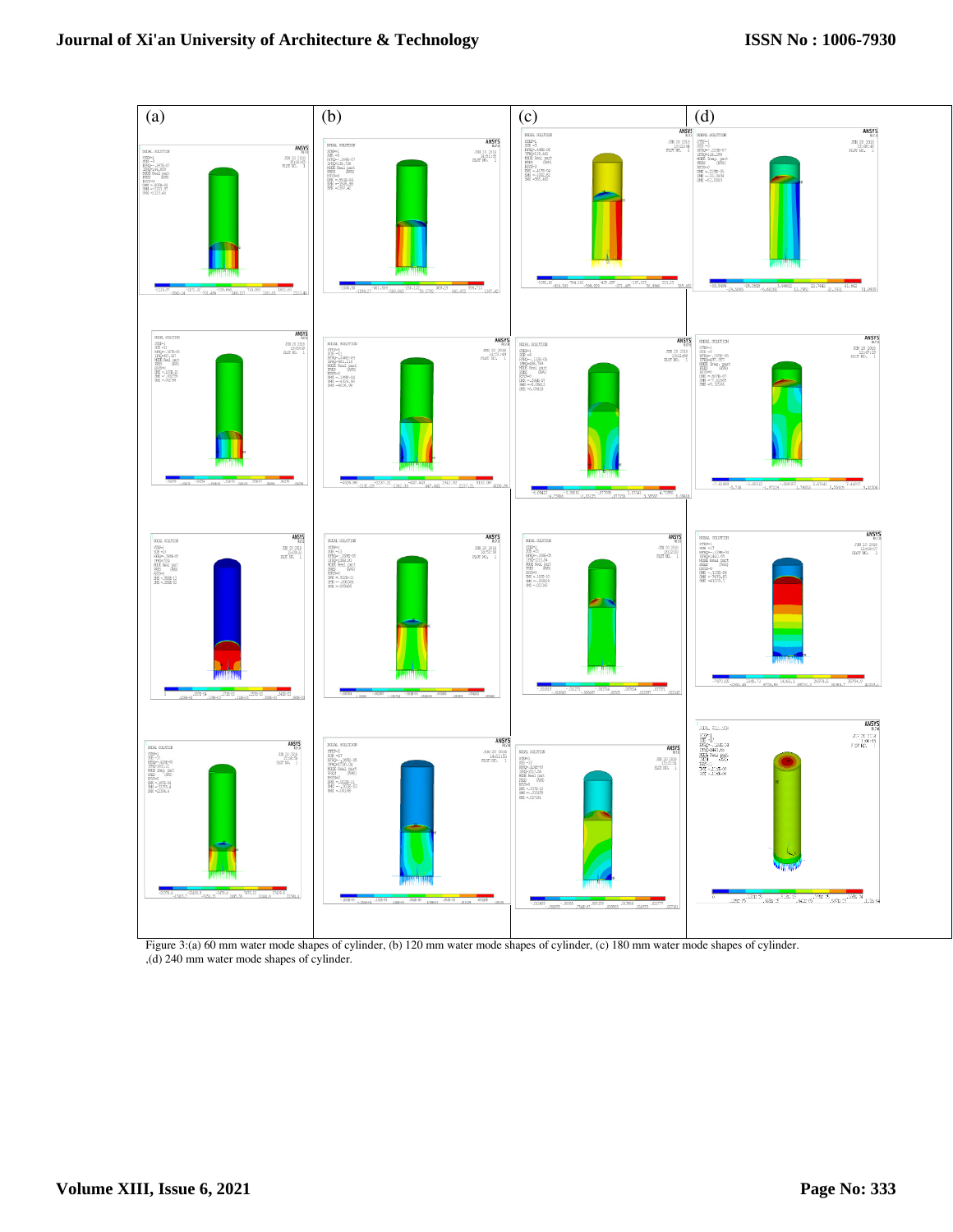

Figure 3:(a) 60 mm water mode shapes of cylinder, (b) 120 mm water mode shapes of cylinder, (c) 180 mm water mode shapes of cylinder. ,(d) 240 mm water mode shapes of cylinder.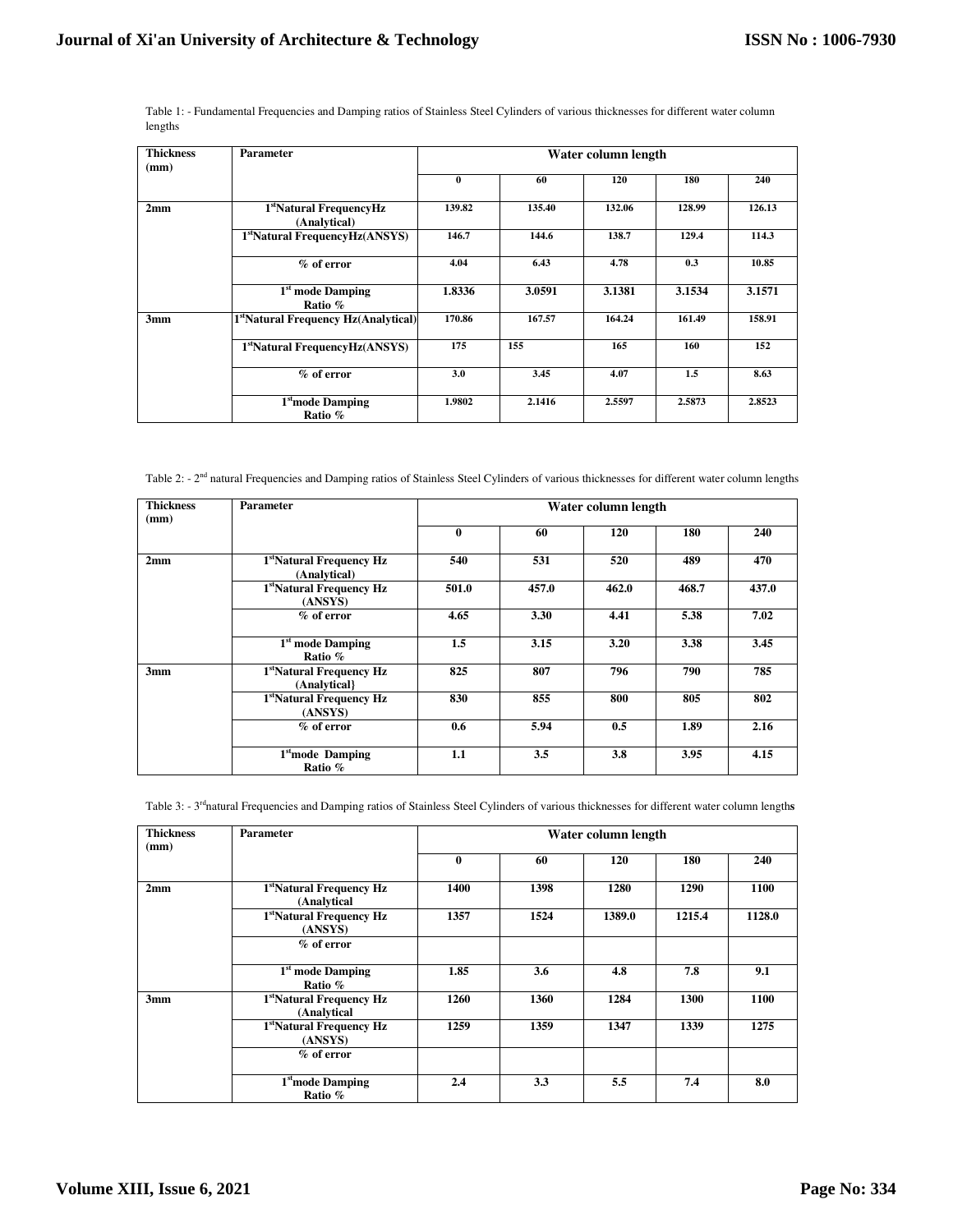Table 1: - Fundamental Frequencies and Damping ratios of Stainless Steel Cylinders of various thicknesses for different water column lengths

| <b>Thickness</b><br>(mm) | Parameter                                        | Water column length |        |        |        |        |
|--------------------------|--------------------------------------------------|---------------------|--------|--------|--------|--------|
|                          |                                                  | $\mathbf{0}$        | 60     | 120    | 180    | 240    |
| 2mm                      | 1stNatural FrequencyHz<br>(Analytical)           | 139.82              | 135.40 | 132.06 | 128.99 | 126.13 |
|                          | 1 <sup>st</sup> Natural FrequencyHz(ANSYS)       | 146.7               | 144.6  | 138.7  | 129.4  | 114.3  |
|                          | $%$ of error                                     | 4.04                | 6.43   | 4.78   | 0.3    | 10.85  |
|                          | 1 <sup>st</sup> mode Damping<br>Ratio %          | 1.8336              | 3.0591 | 3.1381 | 3.1534 | 3.1571 |
| 3mm                      | 1 <sup>st</sup> Natural Frequency Hz(Analytical) | 170.86              | 167.57 | 164.24 | 161.49 | 158.91 |
|                          | 1 <sup>st</sup> Natural FrequencyHz(ANSYS)       | 175                 | 155    | 165    | 160    | 152    |
|                          | $%$ of error                                     | 3.0                 | 3.45   | 4.07   | 1.5    | 8.63   |
|                          | 1 <sup>st</sup> mode Damping<br>Ratio %          | 1.9802              | 2.1416 | 2.5597 | 2.5873 | 2.8523 |

Table 2: - 2<sup>nd</sup> natural Frequencies and Damping ratios of Stainless Steel Cylinders of various thicknesses for different water column lengths

| <b>Thickness</b><br>(mm) | Parameter                                            | Water column length |       |       |       |       |
|--------------------------|------------------------------------------------------|---------------------|-------|-------|-------|-------|
|                          |                                                      | $\mathbf{0}$        | 60    | 120   | 180   | 240   |
| 2mm                      | 1stNatural Frequency Hz<br>(Analytical)              | 540                 | 531   | 520   | 489   | 470   |
|                          | 1stNatural Frequency Hz<br>(ANSYS)                   | 501.0               | 457.0 | 462.0 | 468.7 | 437.0 |
|                          | $%$ of error                                         | 4.65                | 3.30  | 4.41  | 5.38  | 7.02  |
|                          | $1st$ mode Damping<br>Ratio %                        | $1.5\,$             | 3.15  | 3.20  | 3.38  | 3.45  |
| 3mm                      | 1 <sup>st</sup> Natural Frequency Hz<br>(Analytical) | 825                 | 807   | 796   | 790   | 785   |
|                          | 1stNatural Frequency Hz<br>(ANSYS)                   | 830                 | 855   | 800   | 805   | 802   |
|                          | $%$ of error                                         | 0.6                 | 5.94  | 0.5   | 1.89  | 2.16  |
|                          | 1 <sup>st</sup> mode Damping<br>Ratio %              | 1.1                 | 3.5   | 3.8   | 3.95  | 4.15  |

Table 3: - 3<sup>rd</sup>natural Frequencies and Damping ratios of Stainless Steel Cylinders of various thicknesses for different water column lengths

| <b>Thickness</b><br>(mm) | Parameter                               | Water column length |      |        |        |        |
|--------------------------|-----------------------------------------|---------------------|------|--------|--------|--------|
|                          |                                         | $\bf{0}$            | 60   | 120    | 180    | 240    |
| 2mm                      | 1stNatural Frequency Hz<br>(Analytical  | 1400                | 1398 | 1280   | 1290   | 1100   |
|                          | 1stNatural Frequency Hz<br>(ANSYS)      | 1357                | 1524 | 1389.0 | 1215.4 | 1128.0 |
|                          | $%$ of error                            |                     |      |        |        |        |
|                          | 1 <sup>st</sup> mode Damping<br>Ratio % | 1.85                | 3.6  | 4.8    | 7.8    | 9.1    |
| 3mm                      | 1stNatural Frequency Hz<br>(Analytical  | 1260                | 1360 | 1284   | 1300   | 1100   |
|                          | 1stNatural Frequency Hz<br>(ANSYS)      | 1259                | 1359 | 1347   | 1339   | 1275   |
|                          | $%$ of error                            |                     |      |        |        |        |
|                          | 1 <sup>st</sup> mode Damping<br>Ratio % | 2.4                 | 3.3  | 5.5    | 7.4    | 8.0    |